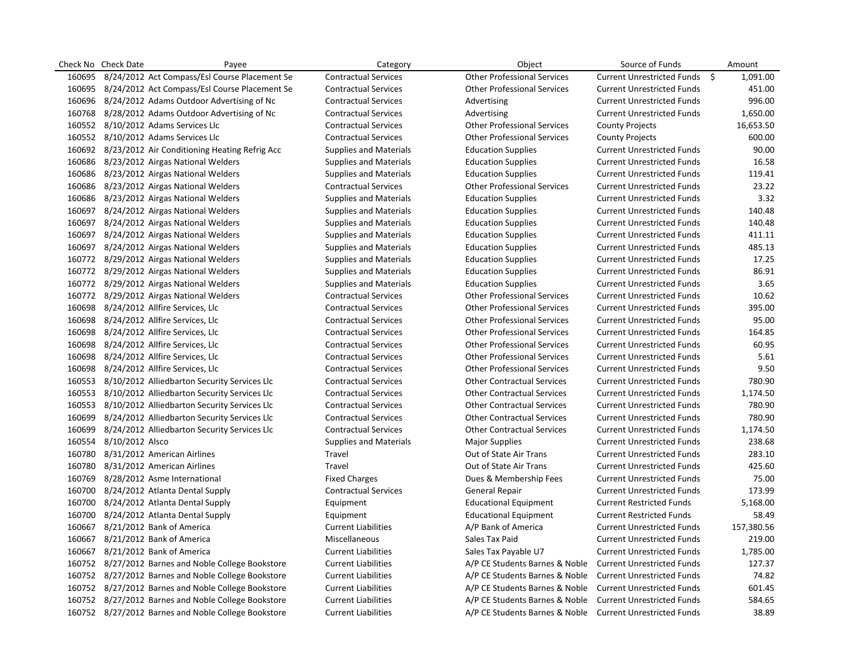| Check No | <b>Check Date</b> | Payee                                                | Category                      | Object                             | Source of Funds                   | Amount     |
|----------|-------------------|------------------------------------------------------|-------------------------------|------------------------------------|-----------------------------------|------------|
| 160695   |                   | 8/24/2012 Act Compass/Esl Course Placement Se        | <b>Contractual Services</b>   | <b>Other Professional Services</b> | Current Unrestricted Funds \$     | 1,091.00   |
| 160695   |                   | 8/24/2012 Act Compass/Esl Course Placement Se        | <b>Contractual Services</b>   | <b>Other Professional Services</b> | <b>Current Unrestricted Funds</b> | 451.00     |
|          |                   | 160696 8/24/2012 Adams Outdoor Advertising of Nc     | <b>Contractual Services</b>   | Advertising                        | <b>Current Unrestricted Funds</b> | 996.00     |
|          |                   | 160768 8/28/2012 Adams Outdoor Advertising of Nc     | <b>Contractual Services</b>   | Advertising                        | <b>Current Unrestricted Funds</b> | 1,650.00   |
|          |                   | 160552 8/10/2012 Adams Services Llc                  | <b>Contractual Services</b>   | <b>Other Professional Services</b> | <b>County Projects</b>            | 16,653.50  |
|          |                   | 160552 8/10/2012 Adams Services Llc                  | <b>Contractual Services</b>   | <b>Other Professional Services</b> | <b>County Projects</b>            | 600.00     |
|          |                   | 160692 8/23/2012 Air Conditioning Heating Refrig Acc | <b>Supplies and Materials</b> | <b>Education Supplies</b>          | <b>Current Unrestricted Funds</b> | 90.00      |
|          |                   | 160686 8/23/2012 Airgas National Welders             | <b>Supplies and Materials</b> | <b>Education Supplies</b>          | <b>Current Unrestricted Funds</b> | 16.58      |
| 160686   |                   | 8/23/2012 Airgas National Welders                    | <b>Supplies and Materials</b> | <b>Education Supplies</b>          | <b>Current Unrestricted Funds</b> | 119.41     |
| 160686   |                   | 8/23/2012 Airgas National Welders                    | <b>Contractual Services</b>   | <b>Other Professional Services</b> | <b>Current Unrestricted Funds</b> | 23.22      |
|          |                   | 160686 8/23/2012 Airgas National Welders             | <b>Supplies and Materials</b> | <b>Education Supplies</b>          | <b>Current Unrestricted Funds</b> | 3.32       |
|          |                   | 160697 8/24/2012 Airgas National Welders             | <b>Supplies and Materials</b> | <b>Education Supplies</b>          | <b>Current Unrestricted Funds</b> | 140.48     |
| 160697   |                   | 8/24/2012 Airgas National Welders                    | <b>Supplies and Materials</b> | <b>Education Supplies</b>          | <b>Current Unrestricted Funds</b> | 140.48     |
|          |                   | 160697 8/24/2012 Airgas National Welders             | <b>Supplies and Materials</b> | <b>Education Supplies</b>          | <b>Current Unrestricted Funds</b> | 411.11     |
|          |                   | 160697 8/24/2012 Airgas National Welders             | <b>Supplies and Materials</b> | <b>Education Supplies</b>          | <b>Current Unrestricted Funds</b> | 485.13     |
|          |                   | 160772 8/29/2012 Airgas National Welders             | <b>Supplies and Materials</b> | <b>Education Supplies</b>          | <b>Current Unrestricted Funds</b> | 17.25      |
|          |                   | 160772 8/29/2012 Airgas National Welders             | <b>Supplies and Materials</b> | <b>Education Supplies</b>          | <b>Current Unrestricted Funds</b> | 86.91      |
|          |                   | 160772 8/29/2012 Airgas National Welders             | <b>Supplies and Materials</b> | <b>Education Supplies</b>          | <b>Current Unrestricted Funds</b> | 3.65       |
|          |                   | 160772 8/29/2012 Airgas National Welders             | <b>Contractual Services</b>   | <b>Other Professional Services</b> | <b>Current Unrestricted Funds</b> | 10.62      |
|          |                   | 160698 8/24/2012 Allfire Services, Llc               | <b>Contractual Services</b>   | <b>Other Professional Services</b> | <b>Current Unrestricted Funds</b> | 395.00     |
| 160698   |                   | 8/24/2012 Allfire Services, Llc                      | <b>Contractual Services</b>   | <b>Other Professional Services</b> | <b>Current Unrestricted Funds</b> | 95.00      |
|          |                   | 160698 8/24/2012 Allfire Services, Llc               | <b>Contractual Services</b>   | <b>Other Professional Services</b> | <b>Current Unrestricted Funds</b> | 164.85     |
| 160698   |                   | 8/24/2012 Allfire Services, Llc                      | <b>Contractual Services</b>   | <b>Other Professional Services</b> | <b>Current Unrestricted Funds</b> | 60.95      |
| 160698   |                   | 8/24/2012 Allfire Services, Llc                      | <b>Contractual Services</b>   | <b>Other Professional Services</b> | <b>Current Unrestricted Funds</b> | 5.61       |
| 160698   |                   | 8/24/2012 Allfire Services, Llc                      | <b>Contractual Services</b>   | <b>Other Professional Services</b> | <b>Current Unrestricted Funds</b> | 9.50       |
|          |                   | 160553 8/10/2012 Alliedbarton Security Services Llc  | <b>Contractual Services</b>   | <b>Other Contractual Services</b>  | <b>Current Unrestricted Funds</b> | 780.90     |
|          |                   | 160553 8/10/2012 Alliedbarton Security Services Llc  | <b>Contractual Services</b>   | <b>Other Contractual Services</b>  | <b>Current Unrestricted Funds</b> | 1,174.50   |
| 160553   |                   | 8/10/2012 Alliedbarton Security Services Llc         | <b>Contractual Services</b>   | <b>Other Contractual Services</b>  | <b>Current Unrestricted Funds</b> | 780.90     |
| 160699   |                   | 8/24/2012 Alliedbarton Security Services Llc         | <b>Contractual Services</b>   | <b>Other Contractual Services</b>  | <b>Current Unrestricted Funds</b> | 780.90     |
| 160699   |                   | 8/24/2012 Alliedbarton Security Services Llc         | <b>Contractual Services</b>   | <b>Other Contractual Services</b>  | <b>Current Unrestricted Funds</b> | 1,174.50   |
| 160554   | 8/10/2012 Alsco   |                                                      | <b>Supplies and Materials</b> | <b>Major Supplies</b>              | <b>Current Unrestricted Funds</b> | 238.68     |
| 160780   |                   | 8/31/2012 American Airlines                          | Travel                        | Out of State Air Trans             | <b>Current Unrestricted Funds</b> | 283.10     |
| 160780   |                   | 8/31/2012 American Airlines                          | Travel                        | Out of State Air Trans             | <b>Current Unrestricted Funds</b> | 425.60     |
| 160769   |                   | 8/28/2012 Asme International                         | <b>Fixed Charges</b>          | Dues & Membership Fees             | <b>Current Unrestricted Funds</b> | 75.00      |
| 160700   |                   | 8/24/2012 Atlanta Dental Supply                      | <b>Contractual Services</b>   | <b>General Repair</b>              | <b>Current Unrestricted Funds</b> | 173.99     |
| 160700   |                   | 8/24/2012 Atlanta Dental Supply                      | Equipment                     | <b>Educational Equipment</b>       | <b>Current Restricted Funds</b>   | 5,168.00   |
| 160700   |                   | 8/24/2012 Atlanta Dental Supply                      | Equipment                     | <b>Educational Equipment</b>       | <b>Current Restricted Funds</b>   | 58.49      |
| 160667   |                   | 8/21/2012 Bank of America                            | <b>Current Liabilities</b>    | A/P Bank of America                | <b>Current Unrestricted Funds</b> | 157,380.56 |
| 160667   |                   | 8/21/2012 Bank of America                            | Miscellaneous                 | Sales Tax Paid                     | <b>Current Unrestricted Funds</b> | 219.00     |
| 160667   |                   | 8/21/2012 Bank of America                            | <b>Current Liabilities</b>    | Sales Tax Payable U7               | <b>Current Unrestricted Funds</b> | 1,785.00   |
|          |                   | 160752 8/27/2012 Barnes and Noble College Bookstore  | <b>Current Liabilities</b>    | A/P CE Students Barnes & Noble     | <b>Current Unrestricted Funds</b> | 127.37     |
|          |                   | 160752 8/27/2012 Barnes and Noble College Bookstore  | <b>Current Liabilities</b>    | A/P CE Students Barnes & Noble     | <b>Current Unrestricted Funds</b> | 74.82      |
|          |                   | 160752 8/27/2012 Barnes and Noble College Bookstore  | <b>Current Liabilities</b>    | A/P CE Students Barnes & Noble     | <b>Current Unrestricted Funds</b> | 601.45     |
|          |                   | 160752 8/27/2012 Barnes and Noble College Bookstore  | <b>Current Liabilities</b>    | A/P CE Students Barnes & Noble     | <b>Current Unrestricted Funds</b> | 584.65     |
|          |                   | 160752 8/27/2012 Barnes and Noble College Bookstore  | <b>Current Liabilities</b>    | A/P CE Students Barnes & Noble     | <b>Current Unrestricted Funds</b> | 38.89      |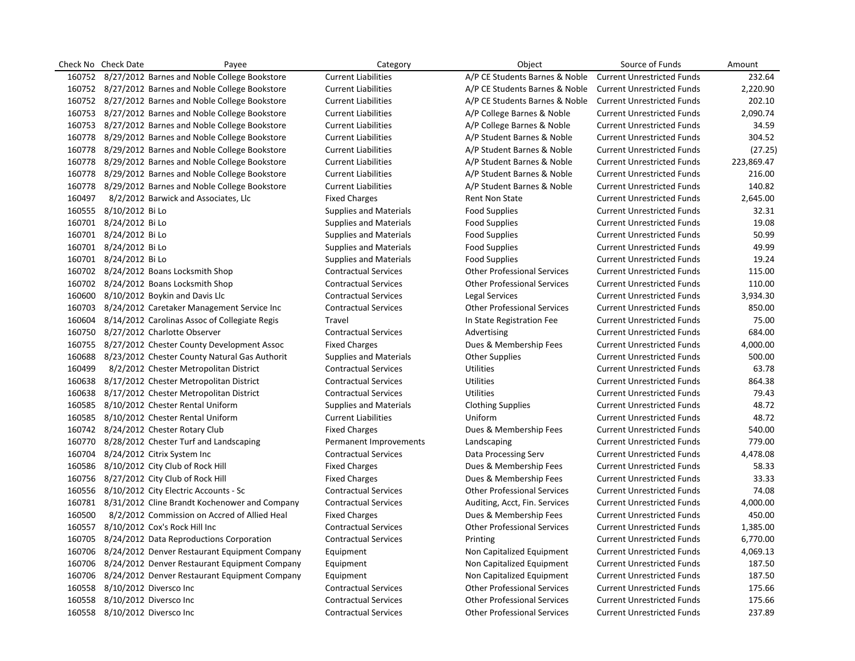|        | Check No Check Date           | Payee                                                | Category                      | Object                             | Source of Funds                   | Amount     |
|--------|-------------------------------|------------------------------------------------------|-------------------------------|------------------------------------|-----------------------------------|------------|
|        |                               | 160752 8/27/2012 Barnes and Noble College Bookstore  | <b>Current Liabilities</b>    | A/P CE Students Barnes & Noble     | <b>Current Unrestricted Funds</b> | 232.64     |
|        |                               | 160752 8/27/2012 Barnes and Noble College Bookstore  | <b>Current Liabilities</b>    | A/P CE Students Barnes & Noble     | <b>Current Unrestricted Funds</b> | 2,220.90   |
|        |                               | 160752 8/27/2012 Barnes and Noble College Bookstore  | <b>Current Liabilities</b>    | A/P CE Students Barnes & Noble     | <b>Current Unrestricted Funds</b> | 202.10     |
|        |                               | 160753 8/27/2012 Barnes and Noble College Bookstore  | <b>Current Liabilities</b>    | A/P College Barnes & Noble         | <b>Current Unrestricted Funds</b> | 2,090.74   |
|        |                               | 160753 8/27/2012 Barnes and Noble College Bookstore  | <b>Current Liabilities</b>    | A/P College Barnes & Noble         | <b>Current Unrestricted Funds</b> | 34.59      |
|        |                               | 160778 8/29/2012 Barnes and Noble College Bookstore  | <b>Current Liabilities</b>    | A/P Student Barnes & Noble         | <b>Current Unrestricted Funds</b> | 304.52     |
|        |                               | 160778 8/29/2012 Barnes and Noble College Bookstore  | <b>Current Liabilities</b>    | A/P Student Barnes & Noble         | <b>Current Unrestricted Funds</b> | (27.25)    |
|        |                               | 160778 8/29/2012 Barnes and Noble College Bookstore  | <b>Current Liabilities</b>    | A/P Student Barnes & Noble         | <b>Current Unrestricted Funds</b> | 223,869.47 |
|        |                               | 160778 8/29/2012 Barnes and Noble College Bookstore  | <b>Current Liabilities</b>    | A/P Student Barnes & Noble         | <b>Current Unrestricted Funds</b> | 216.00     |
|        |                               | 160778 8/29/2012 Barnes and Noble College Bookstore  | <b>Current Liabilities</b>    | A/P Student Barnes & Noble         | <b>Current Unrestricted Funds</b> | 140.82     |
| 160497 |                               | 8/2/2012 Barwick and Associates, Llc                 | <b>Fixed Charges</b>          | Rent Non State                     | <b>Current Unrestricted Funds</b> | 2,645.00   |
|        | 160555 8/10/2012 Bi Lo        |                                                      | <b>Supplies and Materials</b> | <b>Food Supplies</b>               | <b>Current Unrestricted Funds</b> | 32.31      |
|        | 160701 8/24/2012 Bi Lo        |                                                      | <b>Supplies and Materials</b> | <b>Food Supplies</b>               | <b>Current Unrestricted Funds</b> | 19.08      |
|        | 160701 8/24/2012 Bi Lo        |                                                      | <b>Supplies and Materials</b> | <b>Food Supplies</b>               | <b>Current Unrestricted Funds</b> | 50.99      |
|        | 160701 8/24/2012 Bi Lo        |                                                      | <b>Supplies and Materials</b> | <b>Food Supplies</b>               | <b>Current Unrestricted Funds</b> | 49.99      |
|        | 160701 8/24/2012 Bi Lo        |                                                      | <b>Supplies and Materials</b> | Food Supplies                      | <b>Current Unrestricted Funds</b> | 19.24      |
|        |                               | 160702 8/24/2012 Boans Locksmith Shop                | <b>Contractual Services</b>   | <b>Other Professional Services</b> | <b>Current Unrestricted Funds</b> | 115.00     |
|        |                               | 160702 8/24/2012 Boans Locksmith Shop                | <b>Contractual Services</b>   | <b>Other Professional Services</b> | <b>Current Unrestricted Funds</b> | 110.00     |
|        |                               | 160600 8/10/2012 Boykin and Davis Llc                | <b>Contractual Services</b>   | Legal Services                     | <b>Current Unrestricted Funds</b> | 3,934.30   |
|        |                               | 160703 8/24/2012 Caretaker Management Service Inc    | <b>Contractual Services</b>   | <b>Other Professional Services</b> | <b>Current Unrestricted Funds</b> | 850.00     |
|        |                               | 160604 8/14/2012 Carolinas Assoc of Collegiate Regis | Travel                        | In State Registration Fee          | <b>Current Unrestricted Funds</b> | 75.00      |
|        |                               | 160750 8/27/2012 Charlotte Observer                  | <b>Contractual Services</b>   | Advertising                        | <b>Current Unrestricted Funds</b> | 684.00     |
|        |                               | 160755 8/27/2012 Chester County Development Assoc    | <b>Fixed Charges</b>          | Dues & Membership Fees             | <b>Current Unrestricted Funds</b> | 4,000.00   |
|        |                               | 160688 8/23/2012 Chester County Natural Gas Authorit | <b>Supplies and Materials</b> | <b>Other Supplies</b>              | <b>Current Unrestricted Funds</b> | 500.00     |
| 160499 |                               | 8/2/2012 Chester Metropolitan District               | <b>Contractual Services</b>   | Utilities                          | <b>Current Unrestricted Funds</b> | 63.78      |
|        |                               | 160638 8/17/2012 Chester Metropolitan District       | <b>Contractual Services</b>   | <b>Utilities</b>                   | <b>Current Unrestricted Funds</b> | 864.38     |
|        |                               | 160638 8/17/2012 Chester Metropolitan District       | <b>Contractual Services</b>   | <b>Utilities</b>                   | <b>Current Unrestricted Funds</b> | 79.43      |
|        |                               | 160585 8/10/2012 Chester Rental Uniform              | <b>Supplies and Materials</b> | <b>Clothing Supplies</b>           | <b>Current Unrestricted Funds</b> | 48.72      |
|        |                               | 160585 8/10/2012 Chester Rental Uniform              | <b>Current Liabilities</b>    | Uniform                            | <b>Current Unrestricted Funds</b> | 48.72      |
|        |                               | 160742 8/24/2012 Chester Rotary Club                 | <b>Fixed Charges</b>          | Dues & Membership Fees             | <b>Current Unrestricted Funds</b> | 540.00     |
|        |                               | 160770 8/28/2012 Chester Turf and Landscaping        | Permanent Improvements        | Landscaping                        | <b>Current Unrestricted Funds</b> | 779.00     |
|        |                               | 160704 8/24/2012 Citrix System Inc                   | <b>Contractual Services</b>   | Data Processing Serv               | <b>Current Unrestricted Funds</b> | 4,478.08   |
|        |                               | 160586 8/10/2012 City Club of Rock Hill              | <b>Fixed Charges</b>          | Dues & Membership Fees             | <b>Current Unrestricted Funds</b> | 58.33      |
|        |                               | 160756 8/27/2012 City Club of Rock Hill              | <b>Fixed Charges</b>          | Dues & Membership Fees             | <b>Current Unrestricted Funds</b> | 33.33      |
|        |                               | 160556 8/10/2012 City Electric Accounts - Sc         | <b>Contractual Services</b>   | <b>Other Professional Services</b> | <b>Current Unrestricted Funds</b> | 74.08      |
|        |                               | 160781 8/31/2012 Cline Brandt Kochenower and Company | <b>Contractual Services</b>   | Auditing, Acct, Fin. Services      | <b>Current Unrestricted Funds</b> | 4,000.00   |
| 160500 |                               | 8/2/2012 Commission on Accred of Allied Heal         | <b>Fixed Charges</b>          | Dues & Membership Fees             | <b>Current Unrestricted Funds</b> | 450.00     |
|        |                               | 160557 8/10/2012 Cox's Rock Hill Inc                 | <b>Contractual Services</b>   | <b>Other Professional Services</b> | <b>Current Unrestricted Funds</b> | 1,385.00   |
|        |                               | 160705 8/24/2012 Data Reproductions Corporation      | <b>Contractual Services</b>   | Printing                           | <b>Current Unrestricted Funds</b> | 6,770.00   |
|        |                               | 160706 8/24/2012 Denver Restaurant Equipment Company | Equipment                     | Non Capitalized Equipment          | <b>Current Unrestricted Funds</b> | 4,069.13   |
|        |                               | 160706 8/24/2012 Denver Restaurant Equipment Company | Equipment                     | Non Capitalized Equipment          | <b>Current Unrestricted Funds</b> | 187.50     |
|        |                               | 160706 8/24/2012 Denver Restaurant Equipment Company | Equipment                     | Non Capitalized Equipment          | <b>Current Unrestricted Funds</b> | 187.50     |
|        | 160558 8/10/2012 Diversco Inc |                                                      | <b>Contractual Services</b>   | <b>Other Professional Services</b> | <b>Current Unrestricted Funds</b> | 175.66     |
|        | 160558 8/10/2012 Diversco Inc |                                                      | <b>Contractual Services</b>   | <b>Other Professional Services</b> | <b>Current Unrestricted Funds</b> | 175.66     |
|        | 160558 8/10/2012 Diversco Inc |                                                      | <b>Contractual Services</b>   | <b>Other Professional Services</b> | <b>Current Unrestricted Funds</b> | 237.89     |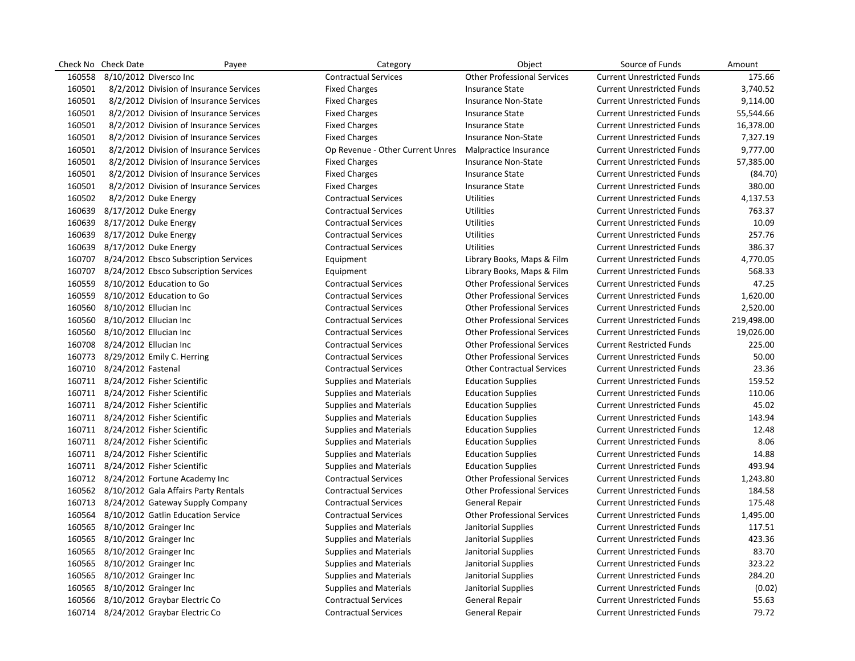| Check No | <b>Check Date</b>             | Payee                                        | Category                         | Object                             | Source of Funds                   | Amount     |
|----------|-------------------------------|----------------------------------------------|----------------------------------|------------------------------------|-----------------------------------|------------|
| 160558   |                               | 8/10/2012 Diversco Inc                       | <b>Contractual Services</b>      | <b>Other Professional Services</b> | <b>Current Unrestricted Funds</b> | 175.66     |
| 160501   |                               | 8/2/2012 Division of Insurance Services      | <b>Fixed Charges</b>             | <b>Insurance State</b>             | <b>Current Unrestricted Funds</b> | 3,740.52   |
| 160501   |                               | 8/2/2012 Division of Insurance Services      | <b>Fixed Charges</b>             | <b>Insurance Non-State</b>         | <b>Current Unrestricted Funds</b> | 9,114.00   |
| 160501   |                               | 8/2/2012 Division of Insurance Services      | <b>Fixed Charges</b>             | <b>Insurance State</b>             | <b>Current Unrestricted Funds</b> | 55,544.66  |
| 160501   |                               | 8/2/2012 Division of Insurance Services      | <b>Fixed Charges</b>             | <b>Insurance State</b>             | <b>Current Unrestricted Funds</b> | 16,378.00  |
| 160501   |                               | 8/2/2012 Division of Insurance Services      | <b>Fixed Charges</b>             | <b>Insurance Non-State</b>         | <b>Current Unrestricted Funds</b> | 7,327.19   |
| 160501   |                               | 8/2/2012 Division of Insurance Services      | Op Revenue - Other Current Unres | Malpractice Insurance              | <b>Current Unrestricted Funds</b> | 9,777.00   |
| 160501   |                               | 8/2/2012 Division of Insurance Services      | <b>Fixed Charges</b>             | <b>Insurance Non-State</b>         | <b>Current Unrestricted Funds</b> | 57,385.00  |
| 160501   |                               | 8/2/2012 Division of Insurance Services      | <b>Fixed Charges</b>             | <b>Insurance State</b>             | <b>Current Unrestricted Funds</b> | (84.70)    |
| 160501   |                               | 8/2/2012 Division of Insurance Services      | <b>Fixed Charges</b>             | <b>Insurance State</b>             | <b>Current Unrestricted Funds</b> | 380.00     |
| 160502   |                               | 8/2/2012 Duke Energy                         | <b>Contractual Services</b>      | <b>Utilities</b>                   | <b>Current Unrestricted Funds</b> | 4,137.53   |
| 160639   |                               | 8/17/2012 Duke Energy                        | <b>Contractual Services</b>      | <b>Utilities</b>                   | <b>Current Unrestricted Funds</b> | 763.37     |
| 160639   |                               | 8/17/2012 Duke Energy                        | <b>Contractual Services</b>      | <b>Utilities</b>                   | <b>Current Unrestricted Funds</b> | 10.09      |
| 160639   |                               | 8/17/2012 Duke Energy                        | <b>Contractual Services</b>      | <b>Utilities</b>                   | <b>Current Unrestricted Funds</b> | 257.76     |
| 160639   |                               | 8/17/2012 Duke Energy                        | <b>Contractual Services</b>      | <b>Utilities</b>                   | <b>Current Unrestricted Funds</b> | 386.37     |
|          |                               | 160707 8/24/2012 Ebsco Subscription Services | Equipment                        | Library Books, Maps & Film         | <b>Current Unrestricted Funds</b> | 4,770.05   |
|          |                               | 160707 8/24/2012 Ebsco Subscription Services | Equipment                        | Library Books, Maps & Film         | <b>Current Unrestricted Funds</b> | 568.33     |
| 160559   |                               | 8/10/2012 Education to Go                    | <b>Contractual Services</b>      | <b>Other Professional Services</b> | <b>Current Unrestricted Funds</b> | 47.25      |
| 160559   |                               | 8/10/2012 Education to Go                    | <b>Contractual Services</b>      | <b>Other Professional Services</b> | <b>Current Unrestricted Funds</b> | 1,620.00   |
| 160560   | 8/10/2012 Ellucian Inc        |                                              | <b>Contractual Services</b>      | <b>Other Professional Services</b> | <b>Current Unrestricted Funds</b> | 2,520.00   |
| 160560   | 8/10/2012 Ellucian Inc        |                                              | <b>Contractual Services</b>      | <b>Other Professional Services</b> | <b>Current Unrestricted Funds</b> | 219,498.00 |
| 160560   | 8/10/2012 Ellucian Inc        |                                              | <b>Contractual Services</b>      | <b>Other Professional Services</b> | <b>Current Unrestricted Funds</b> | 19,026.00  |
| 160708   | 8/24/2012 Ellucian Inc        |                                              | <b>Contractual Services</b>      | <b>Other Professional Services</b> | <b>Current Restricted Funds</b>   | 225.00     |
|          |                               | 160773 8/29/2012 Emily C. Herring            | <b>Contractual Services</b>      | <b>Other Professional Services</b> | <b>Current Unrestricted Funds</b> | 50.00      |
|          | 160710 8/24/2012 Fastenal     |                                              | <b>Contractual Services</b>      | <b>Other Contractual Services</b>  | <b>Current Unrestricted Funds</b> | 23.36      |
|          |                               | 160711 8/24/2012 Fisher Scientific           | <b>Supplies and Materials</b>    | <b>Education Supplies</b>          | <b>Current Unrestricted Funds</b> | 159.52     |
|          |                               | 160711 8/24/2012 Fisher Scientific           | <b>Supplies and Materials</b>    | <b>Education Supplies</b>          | <b>Current Unrestricted Funds</b> | 110.06     |
|          |                               | 160711 8/24/2012 Fisher Scientific           | <b>Supplies and Materials</b>    | <b>Education Supplies</b>          | <b>Current Unrestricted Funds</b> | 45.02      |
|          |                               | 160711 8/24/2012 Fisher Scientific           | <b>Supplies and Materials</b>    | <b>Education Supplies</b>          | <b>Current Unrestricted Funds</b> | 143.94     |
|          |                               | 160711 8/24/2012 Fisher Scientific           | <b>Supplies and Materials</b>    | <b>Education Supplies</b>          | <b>Current Unrestricted Funds</b> | 12.48      |
|          |                               | 160711 8/24/2012 Fisher Scientific           | <b>Supplies and Materials</b>    | <b>Education Supplies</b>          | <b>Current Unrestricted Funds</b> | 8.06       |
|          |                               | 160711 8/24/2012 Fisher Scientific           | <b>Supplies and Materials</b>    | <b>Education Supplies</b>          | <b>Current Unrestricted Funds</b> | 14.88      |
|          |                               | 160711 8/24/2012 Fisher Scientific           | <b>Supplies and Materials</b>    | <b>Education Supplies</b>          | <b>Current Unrestricted Funds</b> | 493.94     |
|          |                               | 160712 8/24/2012 Fortune Academy Inc         | <b>Contractual Services</b>      | <b>Other Professional Services</b> | <b>Current Unrestricted Funds</b> | 1,243.80   |
|          |                               | 160562 8/10/2012 Gala Affairs Party Rentals  | <b>Contractual Services</b>      | <b>Other Professional Services</b> | <b>Current Unrestricted Funds</b> | 184.58     |
|          |                               | 160713 8/24/2012 Gateway Supply Company      | <b>Contractual Services</b>      | <b>General Repair</b>              | <b>Current Unrestricted Funds</b> | 175.48     |
|          |                               | 160564 8/10/2012 Gatlin Education Service    | <b>Contractual Services</b>      | <b>Other Professional Services</b> | <b>Current Unrestricted Funds</b> | 1,495.00   |
|          | 160565 8/10/2012 Grainger Inc |                                              | <b>Supplies and Materials</b>    | Janitorial Supplies                | <b>Current Unrestricted Funds</b> | 117.51     |
| 160565   | 8/10/2012 Grainger Inc        |                                              | <b>Supplies and Materials</b>    | Janitorial Supplies                | <b>Current Unrestricted Funds</b> | 423.36     |
| 160565   |                               | 8/10/2012 Grainger Inc                       | <b>Supplies and Materials</b>    | Janitorial Supplies                | <b>Current Unrestricted Funds</b> | 83.70      |
| 160565   |                               | 8/10/2012 Grainger Inc                       | <b>Supplies and Materials</b>    | Janitorial Supplies                | <b>Current Unrestricted Funds</b> | 323.22     |
| 160565   |                               | 8/10/2012 Grainger Inc                       | <b>Supplies and Materials</b>    | Janitorial Supplies                | <b>Current Unrestricted Funds</b> | 284.20     |
| 160565   |                               | 8/10/2012 Grainger Inc                       | <b>Supplies and Materials</b>    | Janitorial Supplies                | <b>Current Unrestricted Funds</b> | (0.02)     |
|          |                               | 160566 8/10/2012 Graybar Electric Co         | <b>Contractual Services</b>      | <b>General Repair</b>              | <b>Current Unrestricted Funds</b> | 55.63      |
|          |                               | 160714 8/24/2012 Graybar Electric Co         | <b>Contractual Services</b>      | General Repair                     | <b>Current Unrestricted Funds</b> | 79.72      |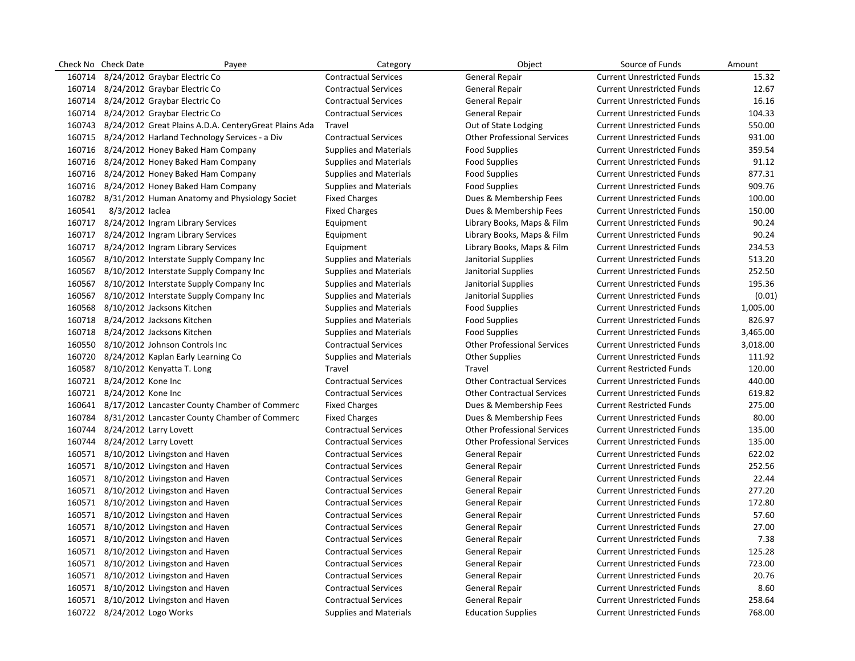|        | Check No Check Date           | Payee                                                        | Category                      | Object                             | Source of Funds                   | Amount   |
|--------|-------------------------------|--------------------------------------------------------------|-------------------------------|------------------------------------|-----------------------------------|----------|
|        |                               | 160714 8/24/2012 Graybar Electric Co                         | <b>Contractual Services</b>   | <b>General Repair</b>              | <b>Current Unrestricted Funds</b> | 15.32    |
|        |                               | 160714 8/24/2012 Graybar Electric Co                         | <b>Contractual Services</b>   | <b>General Repair</b>              | <b>Current Unrestricted Funds</b> | 12.67    |
|        |                               | 160714 8/24/2012 Graybar Electric Co                         | <b>Contractual Services</b>   | <b>General Repair</b>              | <b>Current Unrestricted Funds</b> | 16.16    |
|        |                               | 160714 8/24/2012 Graybar Electric Co                         | <b>Contractual Services</b>   | General Repair                     | <b>Current Unrestricted Funds</b> | 104.33   |
|        |                               | 160743 8/24/2012 Great Plains A.D.A. CenteryGreat Plains Ada | Travel                        | Out of State Lodging               | <b>Current Unrestricted Funds</b> | 550.00   |
|        |                               | 160715 8/24/2012 Harland Technology Services - a Div         | <b>Contractual Services</b>   | <b>Other Professional Services</b> | <b>Current Unrestricted Funds</b> | 931.00   |
|        |                               | 160716 8/24/2012 Honey Baked Ham Company                     | <b>Supplies and Materials</b> | <b>Food Supplies</b>               | <b>Current Unrestricted Funds</b> | 359.54   |
|        |                               | 160716 8/24/2012 Honey Baked Ham Company                     | <b>Supplies and Materials</b> | <b>Food Supplies</b>               | <b>Current Unrestricted Funds</b> | 91.12    |
|        |                               | 160716 8/24/2012 Honey Baked Ham Company                     | <b>Supplies and Materials</b> | <b>Food Supplies</b>               | <b>Current Unrestricted Funds</b> | 877.31   |
|        |                               | 160716 8/24/2012 Honey Baked Ham Company                     | <b>Supplies and Materials</b> | <b>Food Supplies</b>               | <b>Current Unrestricted Funds</b> | 909.76   |
|        |                               | 160782 8/31/2012 Human Anatomy and Physiology Societ         | <b>Fixed Charges</b>          | Dues & Membership Fees             | <b>Current Unrestricted Funds</b> | 100.00   |
| 160541 | 8/3/2012 laclea               |                                                              | <b>Fixed Charges</b>          | Dues & Membership Fees             | <b>Current Unrestricted Funds</b> | 150.00   |
|        |                               | 160717 8/24/2012 Ingram Library Services                     | Equipment                     | Library Books, Maps & Film         | <b>Current Unrestricted Funds</b> | 90.24    |
|        |                               | 160717 8/24/2012 Ingram Library Services                     | Equipment                     | Library Books, Maps & Film         | <b>Current Unrestricted Funds</b> | 90.24    |
|        |                               | 160717 8/24/2012 Ingram Library Services                     | Equipment                     | Library Books, Maps & Film         | <b>Current Unrestricted Funds</b> | 234.53   |
|        |                               | 160567 8/10/2012 Interstate Supply Company Inc               | <b>Supplies and Materials</b> | Janitorial Supplies                | <b>Current Unrestricted Funds</b> | 513.20   |
|        |                               | 160567 8/10/2012 Interstate Supply Company Inc               | <b>Supplies and Materials</b> | Janitorial Supplies                | <b>Current Unrestricted Funds</b> | 252.50   |
| 160567 |                               | 8/10/2012 Interstate Supply Company Inc                      | <b>Supplies and Materials</b> | Janitorial Supplies                | <b>Current Unrestricted Funds</b> | 195.36   |
|        |                               | 160567 8/10/2012 Interstate Supply Company Inc               | <b>Supplies and Materials</b> | Janitorial Supplies                | <b>Current Unrestricted Funds</b> | (0.01)   |
|        |                               | 160568 8/10/2012 Jacksons Kitchen                            | <b>Supplies and Materials</b> | <b>Food Supplies</b>               | <b>Current Unrestricted Funds</b> | 1,005.00 |
|        |                               | 160718 8/24/2012 Jacksons Kitchen                            | <b>Supplies and Materials</b> | <b>Food Supplies</b>               | <b>Current Unrestricted Funds</b> | 826.97   |
|        |                               | 160718 8/24/2012 Jacksons Kitchen                            | <b>Supplies and Materials</b> | <b>Food Supplies</b>               | <b>Current Unrestricted Funds</b> | 3,465.00 |
|        |                               | 160550 8/10/2012 Johnson Controls Inc                        | <b>Contractual Services</b>   | <b>Other Professional Services</b> | <b>Current Unrestricted Funds</b> | 3,018.00 |
|        |                               | 160720 8/24/2012 Kaplan Early Learning Co                    | <b>Supplies and Materials</b> | <b>Other Supplies</b>              | <b>Current Unrestricted Funds</b> | 111.92   |
|        |                               | 160587 8/10/2012 Kenyatta T. Long                            | Travel                        | Travel                             | <b>Current Restricted Funds</b>   | 120.00   |
|        | 160721 8/24/2012 Kone Inc     |                                                              | <b>Contractual Services</b>   | <b>Other Contractual Services</b>  | <b>Current Unrestricted Funds</b> | 440.00   |
|        | 160721 8/24/2012 Kone Inc     |                                                              | <b>Contractual Services</b>   | <b>Other Contractual Services</b>  | <b>Current Unrestricted Funds</b> | 619.82   |
|        |                               | 160641 8/17/2012 Lancaster County Chamber of Commerc         | <b>Fixed Charges</b>          | Dues & Membership Fees             | <b>Current Restricted Funds</b>   | 275.00   |
|        |                               | 160784 8/31/2012 Lancaster County Chamber of Commerc         | <b>Fixed Charges</b>          | Dues & Membership Fees             | <b>Current Unrestricted Funds</b> | 80.00    |
|        | 160744 8/24/2012 Larry Lovett |                                                              | <b>Contractual Services</b>   | <b>Other Professional Services</b> | <b>Current Unrestricted Funds</b> | 135.00   |
|        | 160744 8/24/2012 Larry Lovett |                                                              | <b>Contractual Services</b>   | <b>Other Professional Services</b> | <b>Current Unrestricted Funds</b> | 135.00   |
|        |                               | 160571 8/10/2012 Livingston and Haven                        | <b>Contractual Services</b>   | <b>General Repair</b>              | <b>Current Unrestricted Funds</b> | 622.02   |
|        |                               | 160571 8/10/2012 Livingston and Haven                        | <b>Contractual Services</b>   | General Repair                     | <b>Current Unrestricted Funds</b> | 252.56   |
|        |                               | 160571 8/10/2012 Livingston and Haven                        | <b>Contractual Services</b>   | General Repair                     | <b>Current Unrestricted Funds</b> | 22.44    |
|        |                               | 160571 8/10/2012 Livingston and Haven                        | <b>Contractual Services</b>   | <b>General Repair</b>              | <b>Current Unrestricted Funds</b> | 277.20   |
|        |                               | 160571 8/10/2012 Livingston and Haven                        | <b>Contractual Services</b>   | <b>General Repair</b>              | <b>Current Unrestricted Funds</b> | 172.80   |
|        |                               | 160571 8/10/2012 Livingston and Haven                        | <b>Contractual Services</b>   | <b>General Repair</b>              | <b>Current Unrestricted Funds</b> | 57.60    |
|        |                               | 160571 8/10/2012 Livingston and Haven                        | <b>Contractual Services</b>   | <b>General Repair</b>              | <b>Current Unrestricted Funds</b> | 27.00    |
|        |                               | 160571 8/10/2012 Livingston and Haven                        | <b>Contractual Services</b>   | <b>General Repair</b>              | <b>Current Unrestricted Funds</b> | 7.38     |
|        |                               | 160571 8/10/2012 Livingston and Haven                        | <b>Contractual Services</b>   | General Repair                     | <b>Current Unrestricted Funds</b> | 125.28   |
|        |                               | 160571 8/10/2012 Livingston and Haven                        | <b>Contractual Services</b>   | General Repair                     | <b>Current Unrestricted Funds</b> | 723.00   |
|        |                               | 160571 8/10/2012 Livingston and Haven                        | <b>Contractual Services</b>   | <b>General Repair</b>              | <b>Current Unrestricted Funds</b> | 20.76    |
|        |                               | 160571 8/10/2012 Livingston and Haven                        | <b>Contractual Services</b>   | <b>General Repair</b>              | <b>Current Unrestricted Funds</b> | 8.60     |
|        |                               | 160571 8/10/2012 Livingston and Haven                        | <b>Contractual Services</b>   | <b>General Repair</b>              | <b>Current Unrestricted Funds</b> | 258.64   |
|        | 160722 8/24/2012 Logo Works   |                                                              | <b>Supplies and Materials</b> | <b>Education Supplies</b>          | <b>Current Unrestricted Funds</b> | 768.00   |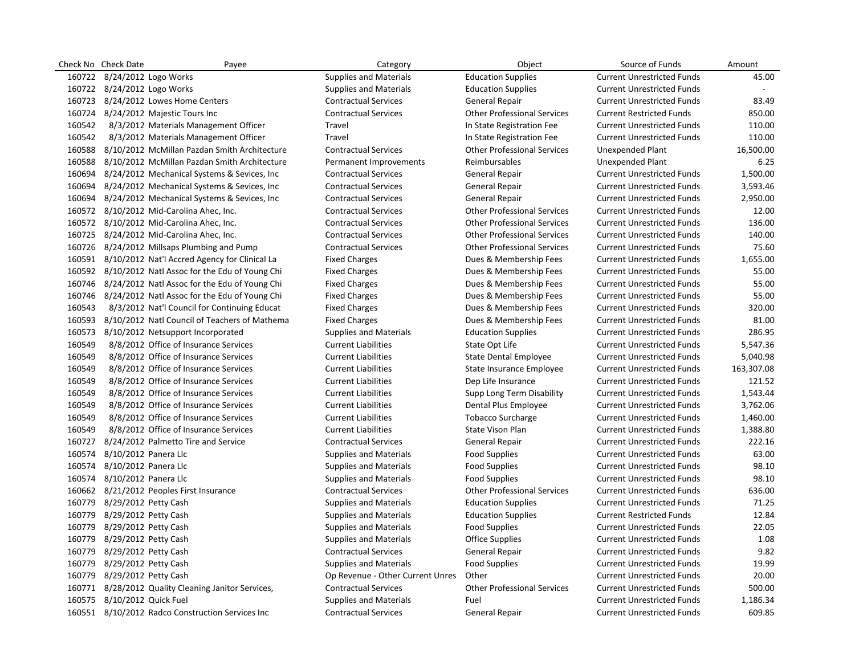|        | Check No Check Date         | Payee                                                | Category                         | Object                             | Source of Funds                   | Amount     |
|--------|-----------------------------|------------------------------------------------------|----------------------------------|------------------------------------|-----------------------------------|------------|
|        | 160722 8/24/2012 Logo Works |                                                      | <b>Supplies and Materials</b>    | <b>Education Supplies</b>          | <b>Current Unrestricted Funds</b> | 45.00      |
|        | 160722 8/24/2012 Logo Works |                                                      | <b>Supplies and Materials</b>    | <b>Education Supplies</b>          | <b>Current Unrestricted Funds</b> |            |
|        |                             | 160723 8/24/2012 Lowes Home Centers                  | <b>Contractual Services</b>      | General Repair                     | <b>Current Unrestricted Funds</b> | 83.49      |
|        |                             | 160724 8/24/2012 Majestic Tours Inc                  | <b>Contractual Services</b>      | <b>Other Professional Services</b> | <b>Current Restricted Funds</b>   | 850.00     |
| 160542 |                             | 8/3/2012 Materials Management Officer                | Travel                           | In State Registration Fee          | <b>Current Unrestricted Funds</b> | 110.00     |
| 160542 |                             | 8/3/2012 Materials Management Officer                | Travel                           | In State Registration Fee          | <b>Current Unrestricted Funds</b> | 110.00     |
| 160588 |                             | 8/10/2012 McMillan Pazdan Smith Architecture         | <b>Contractual Services</b>      | <b>Other Professional Services</b> | <b>Unexpended Plant</b>           | 16,500.00  |
|        |                             | 160588 8/10/2012 McMillan Pazdan Smith Architecture  | Permanent Improvements           | Reimbursables                      | Unexpended Plant                  | 6.25       |
|        |                             | 160694 8/24/2012 Mechanical Systems & Sevices, Inc   | <b>Contractual Services</b>      | <b>General Repair</b>              | <b>Current Unrestricted Funds</b> | 1,500.00   |
|        |                             | 160694 8/24/2012 Mechanical Systems & Sevices, Inc   | <b>Contractual Services</b>      | <b>General Repair</b>              | <b>Current Unrestricted Funds</b> | 3,593.46   |
|        |                             | 160694 8/24/2012 Mechanical Systems & Sevices, Inc   | <b>Contractual Services</b>      | <b>General Repair</b>              | <b>Current Unrestricted Funds</b> | 2,950.00   |
|        |                             | 160572 8/10/2012 Mid-Carolina Ahec, Inc.             | <b>Contractual Services</b>      | <b>Other Professional Services</b> | <b>Current Unrestricted Funds</b> | 12.00      |
|        |                             | 160572 8/10/2012 Mid-Carolina Ahec, Inc.             | <b>Contractual Services</b>      | <b>Other Professional Services</b> | <b>Current Unrestricted Funds</b> | 136.00     |
|        |                             | 160725 8/24/2012 Mid-Carolina Ahec, Inc.             | <b>Contractual Services</b>      | <b>Other Professional Services</b> | <b>Current Unrestricted Funds</b> | 140.00     |
|        |                             | 160726 8/24/2012 Millsaps Plumbing and Pump          | <b>Contractual Services</b>      | <b>Other Professional Services</b> | <b>Current Unrestricted Funds</b> | 75.60      |
|        |                             | 160591 8/10/2012 Nat'l Accred Agency for Clinical La | <b>Fixed Charges</b>             | Dues & Membership Fees             | <b>Current Unrestricted Funds</b> | 1,655.00   |
|        |                             | 160592 8/10/2012 Natl Assoc for the Edu of Young Chi | <b>Fixed Charges</b>             | Dues & Membership Fees             | <b>Current Unrestricted Funds</b> | 55.00      |
|        |                             | 160746 8/24/2012 Natl Assoc for the Edu of Young Chi | <b>Fixed Charges</b>             | Dues & Membership Fees             | <b>Current Unrestricted Funds</b> | 55.00      |
|        |                             | 160746 8/24/2012 Natl Assoc for the Edu of Young Chi | <b>Fixed Charges</b>             | Dues & Membership Fees             | <b>Current Unrestricted Funds</b> | 55.00      |
| 160543 |                             | 8/3/2012 Nat'l Council for Continuing Educat         | <b>Fixed Charges</b>             | Dues & Membership Fees             | <b>Current Unrestricted Funds</b> | 320.00     |
|        |                             | 160593 8/10/2012 Natl Council of Teachers of Mathema | <b>Fixed Charges</b>             | Dues & Membership Fees             | <b>Current Unrestricted Funds</b> | 81.00      |
| 160573 |                             | 8/10/2012 Netsupport Incorporated                    | <b>Supplies and Materials</b>    | <b>Education Supplies</b>          | <b>Current Unrestricted Funds</b> | 286.95     |
| 160549 |                             | 8/8/2012 Office of Insurance Services                | <b>Current Liabilities</b>       | State Opt Life                     | <b>Current Unrestricted Funds</b> | 5,547.36   |
| 160549 |                             | 8/8/2012 Office of Insurance Services                | <b>Current Liabilities</b>       | <b>State Dental Employee</b>       | <b>Current Unrestricted Funds</b> | 5,040.98   |
| 160549 |                             | 8/8/2012 Office of Insurance Services                | <b>Current Liabilities</b>       | State Insurance Employee           | <b>Current Unrestricted Funds</b> | 163,307.08 |
| 160549 |                             | 8/8/2012 Office of Insurance Services                | <b>Current Liabilities</b>       | Dep Life Insurance                 | <b>Current Unrestricted Funds</b> | 121.52     |
| 160549 |                             | 8/8/2012 Office of Insurance Services                | <b>Current Liabilities</b>       | Supp Long Term Disability          | <b>Current Unrestricted Funds</b> | 1,543.44   |
| 160549 |                             | 8/8/2012 Office of Insurance Services                | <b>Current Liabilities</b>       | Dental Plus Employee               | <b>Current Unrestricted Funds</b> | 3,762.06   |
| 160549 |                             | 8/8/2012 Office of Insurance Services                | <b>Current Liabilities</b>       | <b>Tobacco Surcharge</b>           | <b>Current Unrestricted Funds</b> | 1,460.00   |
| 160549 |                             | 8/8/2012 Office of Insurance Services                | <b>Current Liabilities</b>       | <b>State Vison Plan</b>            | <b>Current Unrestricted Funds</b> | 1,388.80   |
|        |                             | 160727 8/24/2012 Palmetto Tire and Service           | <b>Contractual Services</b>      | <b>General Repair</b>              | <b>Current Unrestricted Funds</b> | 222.16     |
| 160574 | 8/10/2012 Panera Llc        |                                                      | <b>Supplies and Materials</b>    | <b>Food Supplies</b>               | <b>Current Unrestricted Funds</b> | 63.00      |
| 160574 | 8/10/2012 Panera Llc        |                                                      | <b>Supplies and Materials</b>    | <b>Food Supplies</b>               | <b>Current Unrestricted Funds</b> | 98.10      |
|        | 160574 8/10/2012 Panera Llc |                                                      | <b>Supplies and Materials</b>    | <b>Food Supplies</b>               | <b>Current Unrestricted Funds</b> | 98.10      |
|        |                             | 160662 8/21/2012 Peoples First Insurance             | <b>Contractual Services</b>      | <b>Other Professional Services</b> | <b>Current Unrestricted Funds</b> | 636.00     |
|        | 160779 8/29/2012 Petty Cash |                                                      | <b>Supplies and Materials</b>    | <b>Education Supplies</b>          | <b>Current Unrestricted Funds</b> | 71.25      |
|        | 160779 8/29/2012 Petty Cash |                                                      | <b>Supplies and Materials</b>    | <b>Education Supplies</b>          | <b>Current Restricted Funds</b>   | 12.84      |
|        | 160779 8/29/2012 Petty Cash |                                                      | <b>Supplies and Materials</b>    | <b>Food Supplies</b>               | <b>Current Unrestricted Funds</b> | 22.05      |
|        | 160779 8/29/2012 Petty Cash |                                                      | <b>Supplies and Materials</b>    | Office Supplies                    | <b>Current Unrestricted Funds</b> | 1.08       |
|        | 160779 8/29/2012 Petty Cash |                                                      | <b>Contractual Services</b>      | <b>General Repair</b>              | <b>Current Unrestricted Funds</b> | 9.82       |
|        | 160779 8/29/2012 Petty Cash |                                                      | <b>Supplies and Materials</b>    | <b>Food Supplies</b>               | <b>Current Unrestricted Funds</b> | 19.99      |
|        | 160779 8/29/2012 Petty Cash |                                                      | Op Revenue - Other Current Unres | Other                              | <b>Current Unrestricted Funds</b> | 20.00      |
|        |                             | 160771 8/28/2012 Quality Cleaning Janitor Services,  | <b>Contractual Services</b>      | <b>Other Professional Services</b> | <b>Current Unrestricted Funds</b> | 500.00     |
|        | 160575 8/10/2012 Quick Fuel |                                                      | <b>Supplies and Materials</b>    | Fuel                               | <b>Current Unrestricted Funds</b> | 1,186.34   |
|        |                             | 160551 8/10/2012 Radco Construction Services Inc     | <b>Contractual Services</b>      | <b>General Repair</b>              | <b>Current Unrestricted Funds</b> | 609.85     |
|        |                             |                                                      |                                  |                                    |                                   |            |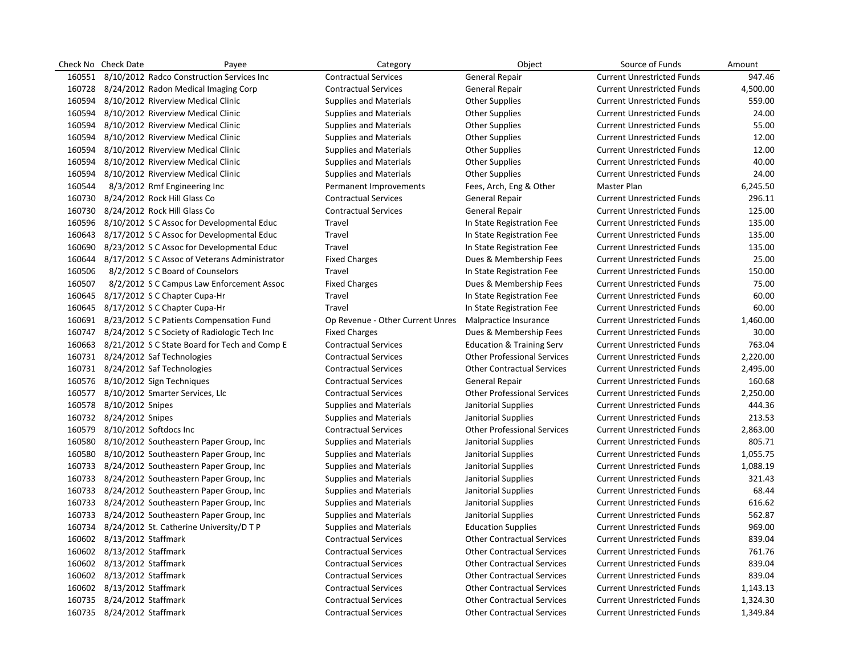|        | Check No Check Date        | Payee                                           | Category                         | Object                               | Source of Funds                   | Amount   |
|--------|----------------------------|-------------------------------------------------|----------------------------------|--------------------------------------|-----------------------------------|----------|
| 160551 |                            | 8/10/2012 Radco Construction Services Inc       | <b>Contractual Services</b>      | <b>General Repair</b>                | <b>Current Unrestricted Funds</b> | 947.46   |
| 160728 |                            | 8/24/2012 Radon Medical Imaging Corp            | <b>Contractual Services</b>      | <b>General Repair</b>                | <b>Current Unrestricted Funds</b> | 4,500.00 |
| 160594 |                            | 8/10/2012 Riverview Medical Clinic              | <b>Supplies and Materials</b>    | <b>Other Supplies</b>                | <b>Current Unrestricted Funds</b> | 559.00   |
| 160594 |                            | 8/10/2012 Riverview Medical Clinic              | <b>Supplies and Materials</b>    | <b>Other Supplies</b>                | <b>Current Unrestricted Funds</b> | 24.00    |
| 160594 |                            | 8/10/2012 Riverview Medical Clinic              | <b>Supplies and Materials</b>    | <b>Other Supplies</b>                | <b>Current Unrestricted Funds</b> | 55.00    |
| 160594 |                            | 8/10/2012 Riverview Medical Clinic              | <b>Supplies and Materials</b>    | <b>Other Supplies</b>                | <b>Current Unrestricted Funds</b> | 12.00    |
| 160594 |                            | 8/10/2012 Riverview Medical Clinic              | <b>Supplies and Materials</b>    | <b>Other Supplies</b>                | <b>Current Unrestricted Funds</b> | 12.00    |
| 160594 |                            | 8/10/2012 Riverview Medical Clinic              | <b>Supplies and Materials</b>    | <b>Other Supplies</b>                | <b>Current Unrestricted Funds</b> | 40.00    |
| 160594 |                            | 8/10/2012 Riverview Medical Clinic              | <b>Supplies and Materials</b>    | <b>Other Supplies</b>                | <b>Current Unrestricted Funds</b> | 24.00    |
| 160544 |                            | 8/3/2012 Rmf Engineering Inc                    | Permanent Improvements           | Fees, Arch, Eng & Other              | Master Plan                       | 6,245.50 |
| 160730 |                            | 8/24/2012 Rock Hill Glass Co                    | <b>Contractual Services</b>      | General Repair                       | <b>Current Unrestricted Funds</b> | 296.11   |
| 160730 |                            | 8/24/2012 Rock Hill Glass Co                    | <b>Contractual Services</b>      | <b>General Repair</b>                | <b>Current Unrestricted Funds</b> | 125.00   |
| 160596 |                            | 8/10/2012 S C Assoc for Developmental Educ      | Travel                           | In State Registration Fee            | <b>Current Unrestricted Funds</b> | 135.00   |
| 160643 |                            | 8/17/2012 S C Assoc for Developmental Educ      | Travel                           | In State Registration Fee            | <b>Current Unrestricted Funds</b> | 135.00   |
| 160690 |                            | 8/23/2012 S C Assoc for Developmental Educ      | Travel                           | In State Registration Fee            | <b>Current Unrestricted Funds</b> | 135.00   |
| 160644 |                            | 8/17/2012 S C Assoc of Veterans Administrator   | <b>Fixed Charges</b>             | Dues & Membership Fees               | <b>Current Unrestricted Funds</b> | 25.00    |
| 160506 |                            | 8/2/2012 S C Board of Counselors                | Travel                           | In State Registration Fee            | <b>Current Unrestricted Funds</b> | 150.00   |
| 160507 |                            | 8/2/2012 S C Campus Law Enforcement Assoc       | <b>Fixed Charges</b>             | Dues & Membership Fees               | <b>Current Unrestricted Funds</b> | 75.00    |
| 160645 |                            | 8/17/2012 S C Chapter Cupa-Hr                   | Travel                           | In State Registration Fee            | <b>Current Unrestricted Funds</b> | 60.00    |
| 160645 |                            | 8/17/2012 S C Chapter Cupa-Hr                   | Travel                           | In State Registration Fee            | <b>Current Unrestricted Funds</b> | 60.00    |
|        |                            | 160691 8/23/2012 S C Patients Compensation Fund | Op Revenue - Other Current Unres | Malpractice Insurance                | <b>Current Unrestricted Funds</b> | 1,460.00 |
| 160747 |                            | 8/24/2012 S C Society of Radiologic Tech Inc    | <b>Fixed Charges</b>             | Dues & Membership Fees               | <b>Current Unrestricted Funds</b> | 30.00    |
| 160663 |                            | 8/21/2012 S C State Board for Tech and Comp E   | <b>Contractual Services</b>      | <b>Education &amp; Training Serv</b> | <b>Current Unrestricted Funds</b> | 763.04   |
|        |                            | 160731 8/24/2012 Saf Technologies               | <b>Contractual Services</b>      | <b>Other Professional Services</b>   | <b>Current Unrestricted Funds</b> | 2,220.00 |
|        |                            | 160731 8/24/2012 Saf Technologies               | <b>Contractual Services</b>      | <b>Other Contractual Services</b>    | <b>Current Unrestricted Funds</b> | 2,495.00 |
| 160576 |                            | 8/10/2012 Sign Techniques                       | <b>Contractual Services</b>      | <b>General Repair</b>                | <b>Current Unrestricted Funds</b> | 160.68   |
| 160577 |                            | 8/10/2012 Smarter Services, Llc                 | <b>Contractual Services</b>      | <b>Other Professional Services</b>   | <b>Current Unrestricted Funds</b> | 2,250.00 |
|        | 160578 8/10/2012 Snipes    |                                                 | <b>Supplies and Materials</b>    | Janitorial Supplies                  | <b>Current Unrestricted Funds</b> | 444.36   |
|        | 160732 8/24/2012 Snipes    |                                                 | <b>Supplies and Materials</b>    | Janitorial Supplies                  | <b>Current Unrestricted Funds</b> | 213.53   |
| 160579 |                            | 8/10/2012 Softdocs Inc                          | <b>Contractual Services</b>      | <b>Other Professional Services</b>   | <b>Current Unrestricted Funds</b> | 2,863.00 |
| 160580 |                            | 8/10/2012 Southeastern Paper Group, Inc.        | <b>Supplies and Materials</b>    | Janitorial Supplies                  | <b>Current Unrestricted Funds</b> | 805.71   |
| 160580 |                            | 8/10/2012 Southeastern Paper Group, Inc.        | <b>Supplies and Materials</b>    | Janitorial Supplies                  | <b>Current Unrestricted Funds</b> | 1,055.75 |
| 160733 |                            | 8/24/2012 Southeastern Paper Group, Inc         | Supplies and Materials           | Janitorial Supplies                  | <b>Current Unrestricted Funds</b> | 1,088.19 |
| 160733 |                            | 8/24/2012 Southeastern Paper Group, Inc         | <b>Supplies and Materials</b>    | Janitorial Supplies                  | <b>Current Unrestricted Funds</b> | 321.43   |
| 160733 |                            | 8/24/2012 Southeastern Paper Group, Inc         | <b>Supplies and Materials</b>    | Janitorial Supplies                  | <b>Current Unrestricted Funds</b> | 68.44    |
| 160733 |                            | 8/24/2012 Southeastern Paper Group, Inc         | <b>Supplies and Materials</b>    | Janitorial Supplies                  | <b>Current Unrestricted Funds</b> | 616.62   |
| 160733 |                            | 8/24/2012 Southeastern Paper Group, Inc.        | <b>Supplies and Materials</b>    | Janitorial Supplies                  | <b>Current Unrestricted Funds</b> | 562.87   |
| 160734 |                            | 8/24/2012 St. Catherine University/D T P        | <b>Supplies and Materials</b>    | <b>Education Supplies</b>            | <b>Current Unrestricted Funds</b> | 969.00   |
|        | 160602 8/13/2012 Staffmark |                                                 | <b>Contractual Services</b>      | <b>Other Contractual Services</b>    | <b>Current Unrestricted Funds</b> | 839.04   |
| 160602 | 8/13/2012 Staffmark        |                                                 | <b>Contractual Services</b>      | <b>Other Contractual Services</b>    | <b>Current Unrestricted Funds</b> | 761.76   |
| 160602 | 8/13/2012 Staffmark        |                                                 | <b>Contractual Services</b>      | <b>Other Contractual Services</b>    | <b>Current Unrestricted Funds</b> | 839.04   |
|        | 160602 8/13/2012 Staffmark |                                                 | <b>Contractual Services</b>      | <b>Other Contractual Services</b>    | <b>Current Unrestricted Funds</b> | 839.04   |
|        | 160602 8/13/2012 Staffmark |                                                 | <b>Contractual Services</b>      | <b>Other Contractual Services</b>    | <b>Current Unrestricted Funds</b> | 1,143.13 |
|        | 160735 8/24/2012 Staffmark |                                                 | <b>Contractual Services</b>      | <b>Other Contractual Services</b>    | <b>Current Unrestricted Funds</b> | 1,324.30 |
|        | 160735 8/24/2012 Staffmark |                                                 | <b>Contractual Services</b>      | <b>Other Contractual Services</b>    | <b>Current Unrestricted Funds</b> | 1,349.84 |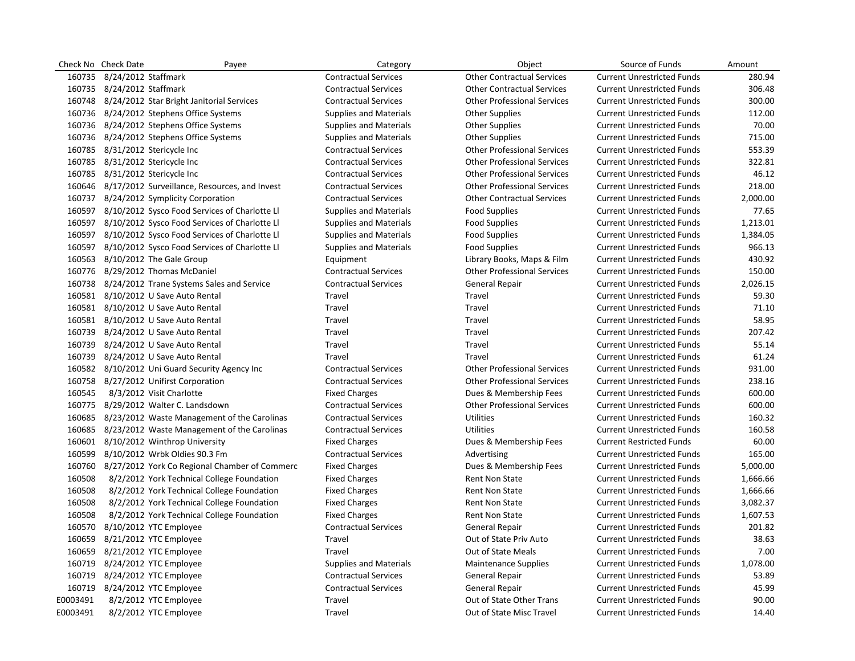|          | Check No Check Date        | Payee                                                | Category                      | Object                             | Source of Funds                   | Amount   |
|----------|----------------------------|------------------------------------------------------|-------------------------------|------------------------------------|-----------------------------------|----------|
| 160735   | 8/24/2012 Staffmark        |                                                      | <b>Contractual Services</b>   | <b>Other Contractual Services</b>  | <b>Current Unrestricted Funds</b> | 280.94   |
|          | 160735 8/24/2012 Staffmark |                                                      | <b>Contractual Services</b>   | <b>Other Contractual Services</b>  | <b>Current Unrestricted Funds</b> | 306.48   |
|          |                            | 160748 8/24/2012 Star Bright Janitorial Services     | <b>Contractual Services</b>   | <b>Other Professional Services</b> | <b>Current Unrestricted Funds</b> | 300.00   |
|          |                            | 160736 8/24/2012 Stephens Office Systems             | <b>Supplies and Materials</b> | <b>Other Supplies</b>              | <b>Current Unrestricted Funds</b> | 112.00   |
|          |                            | 160736 8/24/2012 Stephens Office Systems             | <b>Supplies and Materials</b> | <b>Other Supplies</b>              | <b>Current Unrestricted Funds</b> | 70.00    |
|          |                            | 160736 8/24/2012 Stephens Office Systems             | <b>Supplies and Materials</b> | <b>Other Supplies</b>              | <b>Current Unrestricted Funds</b> | 715.00   |
|          |                            | 160785 8/31/2012 Stericycle Inc                      | <b>Contractual Services</b>   | <b>Other Professional Services</b> | <b>Current Unrestricted Funds</b> | 553.39   |
|          |                            | 160785 8/31/2012 Stericycle Inc                      | <b>Contractual Services</b>   | <b>Other Professional Services</b> | <b>Current Unrestricted Funds</b> | 322.81   |
|          |                            | 160785 8/31/2012 Stericycle Inc                      | <b>Contractual Services</b>   | <b>Other Professional Services</b> | <b>Current Unrestricted Funds</b> | 46.12    |
|          |                            | 160646 8/17/2012 Surveillance, Resources, and Invest | <b>Contractual Services</b>   | <b>Other Professional Services</b> | <b>Current Unrestricted Funds</b> | 218.00   |
|          |                            | 160737 8/24/2012 Symplicity Corporation              | <b>Contractual Services</b>   | <b>Other Contractual Services</b>  | <b>Current Unrestricted Funds</b> | 2,000.00 |
|          |                            | 160597 8/10/2012 Sysco Food Services of Charlotte Ll | <b>Supplies and Materials</b> | <b>Food Supplies</b>               | <b>Current Unrestricted Funds</b> | 77.65    |
|          |                            | 160597 8/10/2012 Sysco Food Services of Charlotte LI | <b>Supplies and Materials</b> | <b>Food Supplies</b>               | <b>Current Unrestricted Funds</b> | 1,213.01 |
|          |                            | 160597 8/10/2012 Sysco Food Services of Charlotte LI | <b>Supplies and Materials</b> | <b>Food Supplies</b>               | <b>Current Unrestricted Funds</b> | 1,384.05 |
|          |                            | 160597 8/10/2012 Sysco Food Services of Charlotte LI | <b>Supplies and Materials</b> | <b>Food Supplies</b>               | <b>Current Unrestricted Funds</b> | 966.13   |
|          |                            | 160563 8/10/2012 The Gale Group                      | Equipment                     | Library Books, Maps & Film         | <b>Current Unrestricted Funds</b> | 430.92   |
|          |                            | 160776 8/29/2012 Thomas McDaniel                     | <b>Contractual Services</b>   | <b>Other Professional Services</b> | <b>Current Unrestricted Funds</b> | 150.00   |
|          |                            | 160738 8/24/2012 Trane Systems Sales and Service     | <b>Contractual Services</b>   | <b>General Repair</b>              | <b>Current Unrestricted Funds</b> | 2,026.15 |
|          |                            | 160581 8/10/2012 U Save Auto Rental                  | Travel                        | Travel                             | <b>Current Unrestricted Funds</b> | 59.30    |
|          |                            | 160581 8/10/2012 U Save Auto Rental                  | Travel                        | Travel                             | <b>Current Unrestricted Funds</b> | 71.10    |
|          |                            | 160581 8/10/2012 U Save Auto Rental                  | Travel                        | Travel                             | <b>Current Unrestricted Funds</b> | 58.95    |
|          |                            | 160739 8/24/2012 U Save Auto Rental                  | Travel                        | Travel                             | <b>Current Unrestricted Funds</b> | 207.42   |
|          |                            | 160739 8/24/2012 U Save Auto Rental                  | Travel                        | Travel                             | <b>Current Unrestricted Funds</b> | 55.14    |
|          |                            | 160739 8/24/2012 U Save Auto Rental                  | Travel                        | Travel                             | <b>Current Unrestricted Funds</b> | 61.24    |
|          |                            | 160582 8/10/2012 Uni Guard Security Agency Inc       | <b>Contractual Services</b>   | <b>Other Professional Services</b> | <b>Current Unrestricted Funds</b> | 931.00   |
|          |                            | 160758 8/27/2012 Unifirst Corporation                | <b>Contractual Services</b>   | <b>Other Professional Services</b> | <b>Current Unrestricted Funds</b> | 238.16   |
| 160545   |                            | 8/3/2012 Visit Charlotte                             | <b>Fixed Charges</b>          | Dues & Membership Fees             | <b>Current Unrestricted Funds</b> | 600.00   |
|          |                            | 160775 8/29/2012 Walter C. Landsdown                 | <b>Contractual Services</b>   | <b>Other Professional Services</b> | <b>Current Unrestricted Funds</b> | 600.00   |
|          |                            | 160685 8/23/2012 Waste Management of the Carolinas   | <b>Contractual Services</b>   | <b>Utilities</b>                   | <b>Current Unrestricted Funds</b> | 160.32   |
|          |                            | 160685 8/23/2012 Waste Management of the Carolinas   | <b>Contractual Services</b>   | <b>Utilities</b>                   | <b>Current Unrestricted Funds</b> | 160.58   |
|          |                            | 160601 8/10/2012 Winthrop University                 | <b>Fixed Charges</b>          | Dues & Membership Fees             | <b>Current Restricted Funds</b>   | 60.00    |
| 160599   |                            | 8/10/2012 Wrbk Oldies 90.3 Fm                        | <b>Contractual Services</b>   | Advertising                        | <b>Current Unrestricted Funds</b> | 165.00   |
|          |                            | 160760 8/27/2012 York Co Regional Chamber of Commerc | <b>Fixed Charges</b>          | Dues & Membership Fees             | <b>Current Unrestricted Funds</b> | 5,000.00 |
| 160508   |                            | 8/2/2012 York Technical College Foundation           | <b>Fixed Charges</b>          | <b>Rent Non State</b>              | <b>Current Unrestricted Funds</b> | 1,666.66 |
| 160508   |                            | 8/2/2012 York Technical College Foundation           | <b>Fixed Charges</b>          | <b>Rent Non State</b>              | <b>Current Unrestricted Funds</b> | 1,666.66 |
| 160508   |                            | 8/2/2012 York Technical College Foundation           | <b>Fixed Charges</b>          | Rent Non State                     | <b>Current Unrestricted Funds</b> | 3,082.37 |
| 160508   |                            | 8/2/2012 York Technical College Foundation           | <b>Fixed Charges</b>          | Rent Non State                     | <b>Current Unrestricted Funds</b> | 1,607.53 |
| 160570   |                            | 8/10/2012 YTC Employee                               | <b>Contractual Services</b>   | <b>General Repair</b>              | <b>Current Unrestricted Funds</b> | 201.82   |
| 160659   |                            | 8/21/2012 YTC Employee                               | Travel                        | Out of State Priv Auto             | <b>Current Unrestricted Funds</b> | 38.63    |
|          |                            | 160659 8/21/2012 YTC Employee                        | Travel                        | Out of State Meals                 | <b>Current Unrestricted Funds</b> | 7.00     |
|          |                            | 160719 8/24/2012 YTC Employee                        | <b>Supplies and Materials</b> | <b>Maintenance Supplies</b>        | <b>Current Unrestricted Funds</b> | 1,078.00 |
|          |                            | 160719 8/24/2012 YTC Employee                        | <b>Contractual Services</b>   | <b>General Repair</b>              | <b>Current Unrestricted Funds</b> | 53.89    |
|          |                            | 160719 8/24/2012 YTC Employee                        | <b>Contractual Services</b>   | <b>General Repair</b>              | <b>Current Unrestricted Funds</b> | 45.99    |
| E0003491 |                            | 8/2/2012 YTC Employee                                | Travel                        | Out of State Other Trans           | <b>Current Unrestricted Funds</b> | 90.00    |
| E0003491 |                            | 8/2/2012 YTC Employee                                | Travel                        | Out of State Misc Travel           | <b>Current Unrestricted Funds</b> | 14.40    |